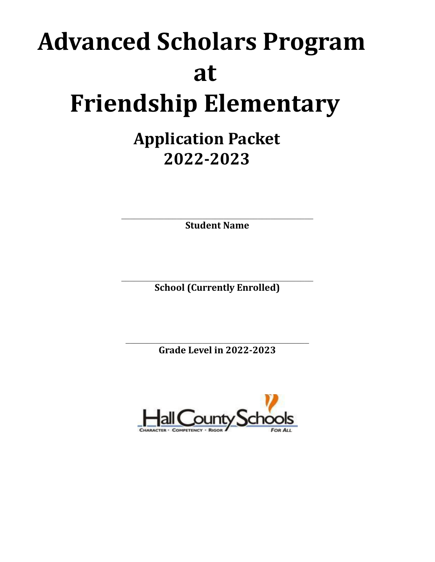# **Advanced Scholars Program at Friendship Elementary**

# **Application Packet 2022-2023**

 $\mathcal{L}_\text{max}$  and the contract of the contract of the contract of the contract of the contract of the contract of the contract of the contract of the contract of the contract of the contract of the contract of the contrac **Student Name**

 $\mathcal{L}_\text{max}$  and the contract of the contract of the contract of the contract of the contract of the contract of the contract of the contract of the contract of the contract of the contract of the contract of the contrac **School (Currently Enrolled)**

 $\mathcal{L}_\text{max}$  and the contract of the contract of the contract of the contract of the contract of the contract of the contract of the contract of the contract of the contract of the contract of the contract of the contrac **Grade Level in 2022-2023**

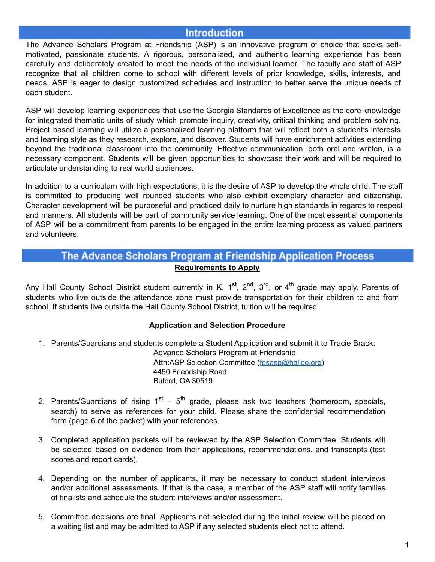#### **Introduction**

The Advance Scholars Program at Friendship (ASP) is an innovative program of choice that seeks selfmotivated, passionate students. A rigorous, personalized, and authentic learning experience has been carefully and deliberately created to meet the needs of the individual learner. The faculty and staff of ASP recognize that all children come to school with different levels of prior knowledge, skills, interests, and needs. ASP is eager to design customized schedules and instruction to better serve the unique needs of each student.

ASP will develop learning experiences that use the Georgia Standards of Excellence as the core knowledge for integrated thematic units of study which promote inquiry, creativity, critical thinking and problem solving. Project based learning will utilize a personalized learning platform that will reflect both a student's interests and learning style as they research, explore, and discover. Students will have enrichment activities extending beyond the traditional classroom into the community. Effective communication, both oral and written, is a necessary component. Students will be given opportunities to showcase their work and will be required to articulate understanding to real world audiences.

In addition to a curriculum with high expectations, it is the desire of ASP to develop the whole child. The staff is committed to producing well rounded students who also exhibit exemplary character and citizenship. Character development will be purposeful and practiced daily to nurture high standards in regards to respect and manners. All students will be part of community service learning. One of the most essential components of ASP will be a commitment from parents to be engaged in the entire learning process as valued partners and volunteers.

#### The Advance Scholars Program at Friendship Application Process **Requirements to Apply**

Any Hall County School District student currently in K, 1<sup>st</sup>, 2<sup>nd</sup>, 3<sup>rd</sup>, or 4<sup>th</sup> grade may apply. Parents of students who live outside the attendance zone must provide transportation for their children to and from school. If students live outside the Hall County School District, tuition will be required.

#### **Application and Selection Procedure**

1. Parents/Guardians and students complete a Student Application and submit it to Tracie Brack:

Advance Scholars Program at Friendship Attn:ASP Selection Committee ([fesasp@hallco.org\)](mailto:fesasp@hallco.org) 4450 Friendship Road Buford, GA 30519

- 2. Parents/Guardians of rising  $1<sup>st</sup> 5<sup>th</sup>$  grade, please ask two teachers (homeroom, specials, search) to serve as references for your child. Please share the confidential recommendation form (page 6 of the packet) with your references.
- 3. Completed application packets will be reviewed by the ASP Selection Committee. Students will be selected based on evidence from their applications, recommendations, and transcripts (test scores and report cards).
- 4. Depending on the number of applicants, it may be necessary to conduct student interviews and/or additional assessments. If that is the case, a member of the ASP staff will notify families of finalists and schedule the student interviews and/or assessment.
- 5. Committee decisions are final. Applicants not selected during the initial review will be placed on a waiting list and may be admitted to ASP if any selected students elect not to attend.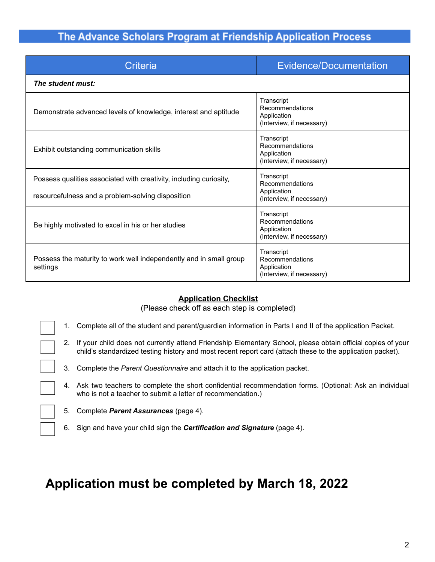# The Advance Scholars Program at Friendship Application Process

| Criteria                                                                                                                | Evidence/Documentation                                                    |  |
|-------------------------------------------------------------------------------------------------------------------------|---------------------------------------------------------------------------|--|
| The student must:                                                                                                       |                                                                           |  |
| Demonstrate advanced levels of knowledge, interest and aptitude                                                         | Transcript<br>Recommendations<br>Application<br>(Interview, if necessary) |  |
| Exhibit outstanding communication skills                                                                                | Transcript<br>Recommendations<br>Application<br>(Interview, if necessary) |  |
| Possess qualities associated with creativity, including curiosity,<br>resourcefulness and a problem-solving disposition | Transcript<br>Recommendations<br>Application<br>(Interview, if necessary) |  |
| Be highly motivated to excel in his or her studies                                                                      | Transcript<br>Recommendations<br>Application<br>(Interview, if necessary) |  |
| Possess the maturity to work well independently and in small group<br>settings                                          | Transcript<br>Recommendations<br>Application<br>(Interview, if necessary) |  |

#### **Application Checklist**

(Please check off as each step is completed)

- 1. Complete all of the student and parent/guardian information in Parts I and II of the application Packet.
- 2. If your child does not currently attend Friendship Elementary School, please obtain official copies of your child's standardized testing history and most recent report card (attach these to the application packet).
- 3. Complete the *Parent Questionnaire* and attach it to the application packet.
- 4. Ask two teachers to complete the short confidential recommendation forms. (Optional: Ask an individual who is not a teacher to submit a letter of recommendation.)
	- 5. Complete *Parent Assurances* (page 4).
	- 6. Sign and have your child sign the *Certification and Signature* (page 4).

# **Application must be completed by March 18, 2022**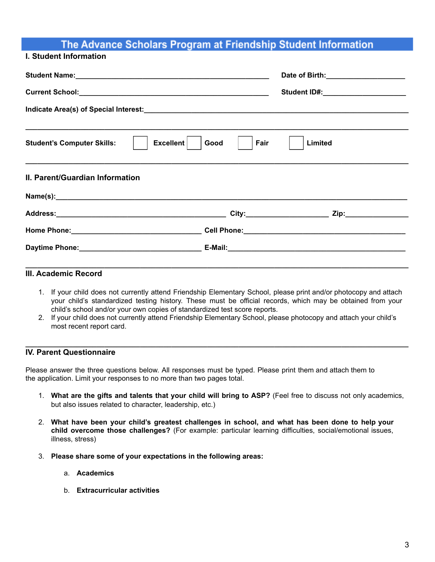# The Advance Scholars Program at Friendship Student Information

#### **I. Student Information**

|                                                | Student ID#:______________________ |
|------------------------------------------------|------------------------------------|
|                                                |                                    |
| Excellent<br><b>Student's Computer Skills:</b> | Good<br>Fair<br>Limited            |
| II. Parent/Guardian Information                |                                    |
|                                                |                                    |
|                                                |                                    |
|                                                |                                    |
|                                                |                                    |
|                                                |                                    |

#### **III. Academic Record**

- 1. If your child does not currently attend Friendship Elementary School, please print and/or photocopy and attach your child's standardized testing history. These must be official records, which may be obtained from your child's school and/or your own copies of standardized test score reports.
- 2. If your child does not currently attend Friendship Elementary School, please photocopy and attach your child's most recent report card.

**\_\_\_\_\_\_\_\_\_\_\_\_\_\_\_\_\_\_\_\_\_\_\_\_\_\_\_\_\_\_\_\_\_\_\_\_\_\_\_\_\_\_\_\_\_\_\_\_\_\_\_\_\_\_\_\_\_\_\_\_\_\_\_\_\_\_\_\_\_\_\_\_\_\_\_\_\_\_\_\_\_\_\_\_\_\_\_\_\_\_\_\_\_\_\_\_\_**

#### **IV. Parent Questionnaire**

Please answer the three questions below. All responses must be typed. Please print them and attach them to the application. Limit your responses to no more than two pages total.

- 1. **What are the gifts and talents that your child will bring to ASP?** (Feel free to discuss not only academics, but also issues related to character, leadership, etc.)
- 2. **What have been your child's greatest challenges in school, and what has been done to help your child overcome those challenges?** (For example: particular learning difficulties, social/emotional issues, illness, stress)
- 3. **Please share some of your expectations in the following areas:**
	- a. **Academics**
	- b. **Extracurricular activities**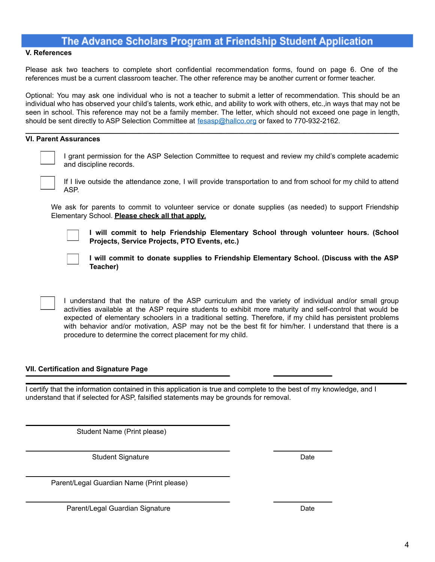### The Advance Scholars Program at Friendship Student Application

#### **V. References**

Please ask two teachers to complete short confidential recommendation forms, found on page 6. One of the references must be a current classroom teacher. The other reference may be another current or former teacher.

Optional: You may ask one individual who is not a teacher to submit a letter of recommendation. This should be an individual who has observed your child's talents, work ethic, and ability to work with others, etc.,in ways that may not be seen in school. This reference may not be a family member. The letter, which should not exceed one page in length, should be sent directly to ASP Selection Committee at [fesasp@hallco.org](mailto:fesasp@hallco.org) or faxed to 770-932-2162.

**\_\_\_\_\_\_\_\_\_\_\_\_\_\_\_\_\_\_\_\_\_\_\_\_\_\_\_\_\_\_\_\_\_\_\_\_\_\_\_\_\_\_\_\_\_\_\_\_\_\_\_\_\_\_\_\_\_\_\_\_\_\_\_\_\_\_\_\_\_\_\_\_\_\_\_\_\_\_\_\_\_\_\_\_\_\_**

#### **VI. Parent Assurances**



I grant permission for the ASP Selection Committee to request and review my child's complete academic and discipline records.



If I live outside the attendance zone, I will provide transportation to and from school for my child to attend ASP.

We ask for parents to commit to volunteer service or donate supplies (as needed) to support Friendship Elementary School. **Please check all that apply.**



**I will commit to help Friendship Elementary School through volunteer hours. (School Projects, Service Projects, PTO Events, etc.)**



**I will commit to donate supplies to Friendship Elementary School. (Discuss with the ASP Teacher)**

I understand that the nature of the ASP curriculum and the variety of individual and/or small group activities available at the ASP require students to exhibit more maturity and self-control that would be expected of elementary schoolers in a traditional setting. Therefore, if my child has persistent problems with behavior and/or motivation, ASP may not be the best fit for him/her. I understand that there is a procedure to determine the correct placement for my child.

#### **VII. Certification and Signature Page**

I certify that the information contained in this application is true and complete to the best of my knowledge, and I understand that if selected for ASP, falsified statements may be grounds for removal.

Student Name (Print please)

Student Signature Date

Parent/Legal Guardian Name (Print please)

Parent/Legal Guardian Signature **Date of American System** Date